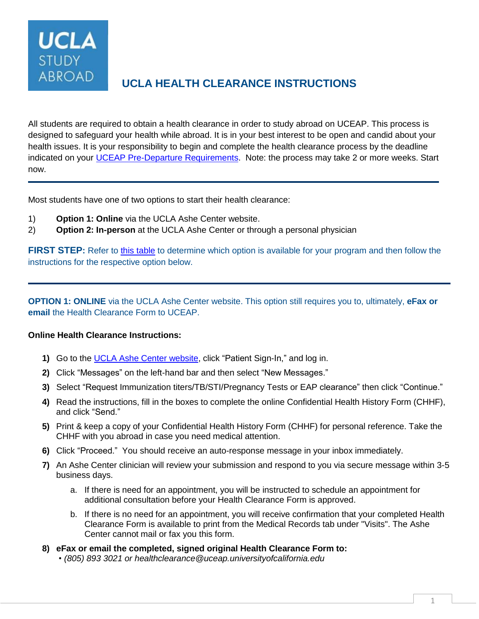**UCLA STUDY ABROAD** 

# **UCLA HEALTH CLEARANCE INSTRUCTIONS**

All students are required to obtain a health clearance in order to study abroad on UCEAP. This process is designed to safeguard your health while abroad. It is in your best interest to be open and candid about your health issues. It is your responsibility to begin and complete the health clearance process by the deadline indicated on your UCEAP Pre-Departure [Requirements.](https://my.uceap.universityofcalifornia.edu/user/login?destination=/) Note: the process may take 2 or more weeks. Start now.

Most students have one of two options to start their health clearance:

- 1) **Option 1: Online** via the UCLA Ashe Center website.
- 2) **Option 2: In-person** at the UCLA Ashe Center or through a personal physician

**FIRST STEP**: Refer to [this table](#page-2-0) to determine which option is available for your program and then follow the instructions for the respective option below.

**OPTION 1: ONLINE** via the UCLA Ashe Center website. This option still requires you to, ultimately, **eFax or email** the Health Clearance Form to UCEAP.

## **Online Health Clearance Instructions:**

- <span id="page-0-0"></span>**1)** Go to the UCLA Ashe Center [website,](https://www.studenthealth.ucla.edu/) click "Patient Sign-In," and log in.
- **2)** Click "Messages" on the left-hand bar and then select "New Messages."
- **3)** Select "Request Immunization titers/TB/STI/Pregnancy Tests or EAP clearance" then click "Continue."
- **4)** Read the instructions, fill in the boxes to complete the online Confidential Health History Form (CHHF), and click "Send."
- **5)** Print & keep a copy of your Confidential Health History Form (CHHF) for personal reference. Take the CHHF with you abroad in case you need medical attention.
- **6)** Click "Proceed." You should receive an auto-response message in your inbox immediately.
- **7)** An Ashe Center clinician will review your submission and respond to you via secure message within 3-5 business days.
	- a. If there is need for an appointment, you will be instructed to schedule an appointment for additional consultation before your Health Clearance Form is approved.
	- b. If there is no need for an appointment, you will receive confirmation that your completed Health Clearance Form is available to print from the Medical Records tab under "Visits". The Ashe Center cannot mail or fax you this form.
- **8) eFax or email the completed, signed original Health Clearance Form to:** *• (805) 893 3021 or [healthclearance@uceap.universityofcalifornia.edu](mailto:healthclearance@uceap.universityofcalifornia.edu)*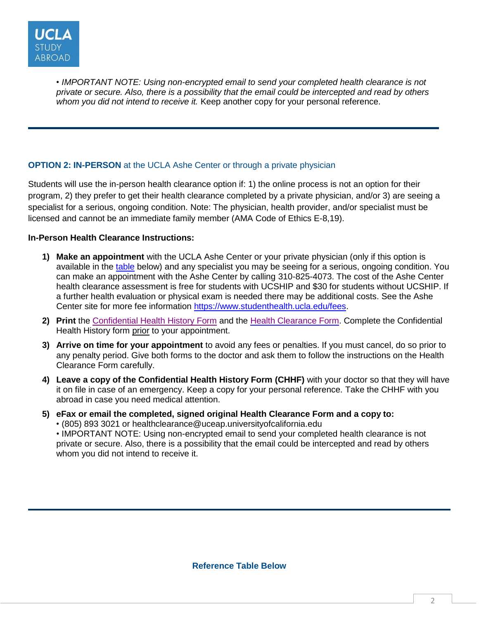

*• IMPORTANT NOTE: Using non-encrypted email to send your completed health clearance is not* private or secure. Also, there is a possibility that the email could be intercepted and read by others *whom you did not intend to receive it.* Keep another copy for your personal reference.

## <span id="page-1-0"></span>**OPTION 2: IN-PERSON** at the UCLA Ashe Center or through a private physician

Students will use the in-person health clearance option if: 1) the online process is not an option for their program, 2) they prefer to get their health clearance completed by a private physician, and/or 3) are seeing a specialist for a serious, ongoing condition. Note: The physician, health provider, and/or specialist must be licensed and cannot be an immediate family member (AMA Code of Ethics E-8,19).

#### **In-Person Health Clearance Instructions:**

- **1) Make an appointment** with the UCLA Ashe Center or your private physician (only if this option is available in the [table](#page-2-0) below) and any specialist you may be seeing for a serious, ongoing condition. You can make an appointment with the Ashe Center by calling 310-825-4073. The cost of the Ashe Center health clearance assessment is free for students with UCSHIP and \$30 for students without UCSHIP. If a further health evaluation or physical exam is needed there may be additional costs. See the Ashe Center site for more fee information [https://www.studenthealth.ucla.edu/fees.](https://www.studenthealth.ucla.edu/fees)
- **2) Print** the [Confidential Health History Form](https://uceap.sharepoint.com/:b:/s/DocumentLibrary/EXwH7X-fhg5CmY43h2kEV7MBLo8y_fmUeGw6NLCauXEaAQ?e=plMoRC) and the Health [Clearance](https://uceap.sharepoint.com/:b:/s/DocumentLibrary/EZRkdsLJwd1AkRqLzoymPaoBS79aoIwqP0v2AiheCuid2A?e=4KCyv4) Form. Complete the Confidential Health History form prior to your appointment.
- **3) Arrive on time for your appointment** to avoid any fees or penalties. If you must cancel, do so prior to any penalty period. Give both forms to the doctor and ask them to follow the instructions on the Health Clearance Form carefully.
- **4) Leave a copy of the Confidential Health History Form (CHHF)** with your doctor so that they will have it on file in case of an emergency. Keep a copy for your personal reference. Take the CHHF with you abroad in case you need medical attention.
- **5) eFax or email the completed, signed original Health Clearance Form and a copy to:**
	- (805) 893 3021 or [healthclearance@uceap.universityofcalifornia.edu](mailto:healthclearance@uceap.universityofcalifornia.edu)

• IMPORTANT NOTE: Using non-encrypted email to send your completed health clearance is not private or secure. Also, there is a possibility that the email could be intercepted and read by others whom you did not intend to receive it.

**Reference Table Below**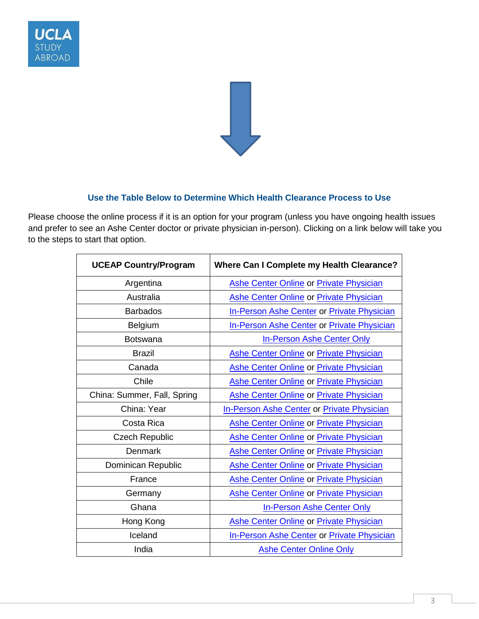



#### **Use the Table Below to Determine Which Health Clearance Process to Use**

<span id="page-2-0"></span>Please choose the online process if it is an option for your program (unless you have ongoing health issues and prefer to see an Ashe Center doctor or private physician in-person). Clicking on a link below will take you to the steps to start that option.

| <b>UCEAP Country/Program</b> | Where Can I Complete my Health Clearance?         |
|------------------------------|---------------------------------------------------|
| Argentina                    | <b>Ashe Center Online or Private Physician</b>    |
| Australia                    | Ashe Center Online or Private Physician           |
| <b>Barbados</b>              | <b>In-Person Ashe Center or Private Physician</b> |
| Belgium                      | <b>In-Person Ashe Center or Private Physician</b> |
| <b>Botswana</b>              | <b>In-Person Ashe Center Only</b>                 |
| <b>Brazil</b>                | <b>Ashe Center Online or Private Physician</b>    |
| Canada                       | <b>Ashe Center Online or Private Physician</b>    |
| Chile                        | <b>Ashe Center Online or Private Physician</b>    |
| China: Summer, Fall, Spring  | <b>Ashe Center Online or Private Physician</b>    |
| China: Year                  | <b>In-Person Ashe Center or Private Physician</b> |
| Costa Rica                   | <b>Ashe Center Online or Private Physician</b>    |
| <b>Czech Republic</b>        | <b>Ashe Center Online or Private Physician</b>    |
| <b>Denmark</b>               | <b>Ashe Center Online or Private Physician</b>    |
| Dominican Republic           | <b>Ashe Center Online or Private Physician</b>    |
| France                       | <b>Ashe Center Online or Private Physician</b>    |
| Germany                      | <b>Ashe Center Online or Private Physician</b>    |
| Ghana                        | <b>In-Person Ashe Center Only</b>                 |
| Hong Kong                    | <b>Ashe Center Online or Private Physician</b>    |
| Iceland                      | <b>In-Person Ashe Center or Private Physician</b> |
| India                        | <b>Ashe Center Online Only</b>                    |